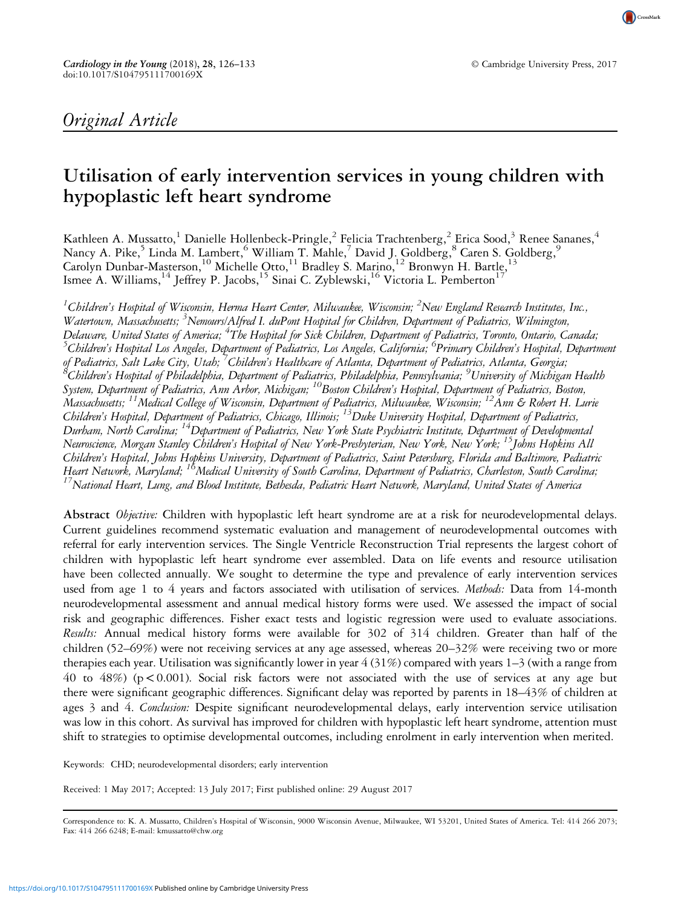CrossMark

# Original Article

# Utilisation of early intervention services in young children with hypoplastic left heart syndrome

Kathleen A. Mussatto,<sup>1</sup> Danielle Hollenbeck-Pringle,<sup>2</sup> Felicia Trachtenberg,<sup>2</sup> Erica Sood,<sup>3</sup> Renee Sananes,<sup>4</sup> Nancy A. Pike,<sup>5</sup> Linda M. Lambert,<sup>6</sup> William T. Mahle,<sup>7</sup> David J. Goldberg,<sup>8</sup> Caren S. Goldberg,<sup>9</sup> Carolyn Dunbar-Masterson,<sup>10</sup> Michelle Otto,<sup>11</sup> Bradley S. Marino,<sup>12</sup> Bronwyn H. Bartle,<sup>13</sup> Ismee A. Williams,<sup>14</sup> Jeffrey P. Jacobs,<sup>15</sup> Sinai C. Zyblewski,<sup>16</sup> Victoria L. Pemberton<sup>1</sup>

 $^1$ Children's Hospital of Wisconsin, Herma Heart Center, Milwaukee, Wisconsin;  $^2$ New England Research Institutes, Inc., Watertown, Massachusetts; <sup>3</sup>Nemours/Alfred I. duPont Hospital for Children, Department of Pediatrics, Wilmington, Delaware, United States of America; <sup>4</sup>The Hospital for Sick Children, Department of Pediatrics, Toronto, Ontario, Canada; <sup>5</sup>Children's Hospital Los Angeles, Department of Pediatrics, Los Angeles, California; <sup>6</sup>Primary Children's Hospital, Department of Pediatrics, Salt Lake City, Utah; <sup>7</sup>Children's Healthcare of Atlanta, Department of Pediatrics, Atlanta, Georgia;<br><sup>8</sup>Children's Hospital of Philadelphia, Department of Pediatrics, Philadelphia, Pennsylvania: <sup>9</sup>Univers Children's Hospital of Philadelphia, Department of Pediatrics, Philadelphia, Pennsylvania; <sup>9</sup> University of Michigan Health System, Department of Pediatrics, Ann Arbor, Michigan; <sup>10</sup>Boston Children's Hospital, Department of Pediatrics, Boston, Massachusetts;  $^{11}$ Medical College of Wisconsin, Department of Pediatrics, Milwaukee, Wisconsin;  $^{12}$ Ann & Robert H. Lurie Children's Hospital, Department of Pediatrics, Chicago, Illinois; <sup>13</sup>Duke University Hospital, Department of Pediatrics, Durham, North Carolina; <sup>14</sup>Department of Pediatrics, New York State Psychiatric Institute, Department of Developmental Neuroscience, Morgan Stanley Children's Hospital of New York-Presbyterian, New York, New York; <sup>15</sup>Johns Hopkins All Children's Hospital, Johns Hopkins University, Department of Pediatrics, Saint Petersburg, Florida and Baltimore, Pediatric Heart Network, Maryland; <sup>18</sup>Medical University of South Carolina, Department of Pediatrics, Charleston, South Carolina;<br><sup>17</sup>National Heart, Lung, and Blood Institute, Bethesda, Pediatric Heart Network, Maryland, United St

Abstract Objective: Children with hypoplastic left heart syndrome are at a risk for neurodevelopmental delays. Current guidelines recommend systematic evaluation and management of neurodevelopmental outcomes with referral for early intervention services. The Single Ventricle Reconstruction Trial represents the largest cohort of children with hypoplastic left heart syndrome ever assembled. Data on life events and resource utilisation have been collected annually. We sought to determine the type and prevalence of early intervention services used from age 1 to 4 years and factors associated with utilisation of services. *Methods:* Data from 14-month neurodevelopmental assessment and annual medical history forms were used. We assessed the impact of social risk and geographic differences. Fisher exact tests and logistic regression were used to evaluate associations. Results: Annual medical history forms were available for 302 of 314 children. Greater than half of the children (52–69%) were not receiving services at any age assessed, whereas 20–32% were receiving two or more therapies each year. Utilisation was significantly lower in year 4 (31%) compared with years 1–3 (with a range from 40 to 48%) ( $p < 0.001$ ). Social risk factors were not associated with the use of services at any age but there were significant geographic differences. Significant delay was reported by parents in 18–43% of children at ages 3 and 4. Conclusion: Despite significant neurodevelopmental delays, early intervention service utilisation was low in this cohort. As survival has improved for children with hypoplastic left heart syndrome, attention must shift to strategies to optimise developmental outcomes, including enrolment in early intervention when merited.

Keywords: CHD; neurodevelopmental disorders; early intervention

Received: 1 May 2017; Accepted: 13 July 2017; First published online: 29 August 2017

Correspondence to: K. A. Mussatto, Children's Hospital of Wisconsin, 9000 Wisconsin Avenue, Milwaukee, WI 53201, United States of America. Tel: 414 266 2073; Fax: 414 266 6248; E-mail: [kmussatto@chw.org](mailto:kmussatto@chw.org)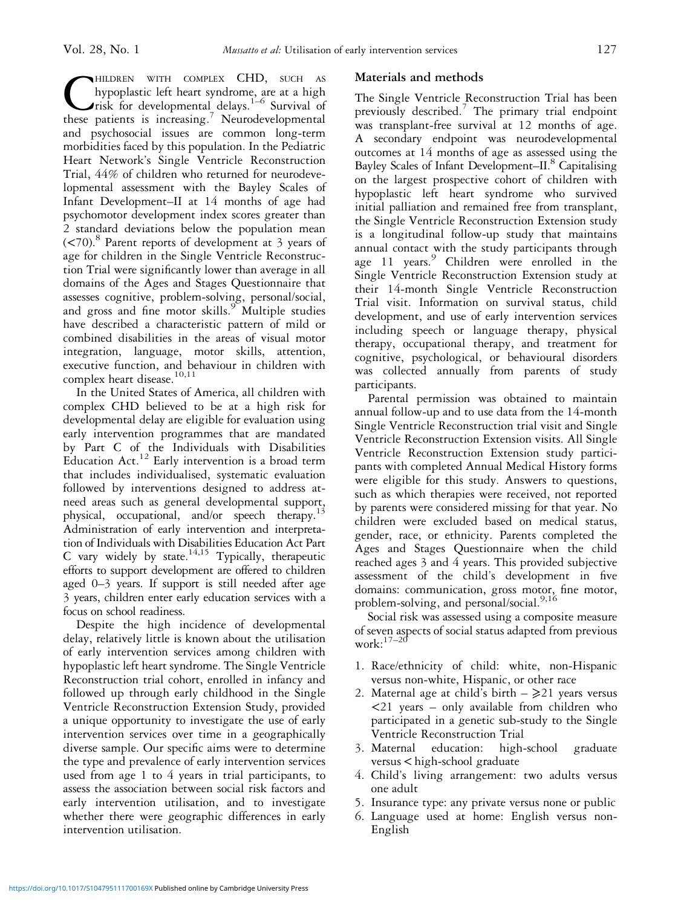**CHILDREN WITH COMPLEX CHD, SUCH AS hypoplastic left heart syndrome, are at a high risk for developmental delays.**<sup>1-6</sup> Survival of these patients is increasing.<sup>7</sup> Neurodevelopmental hypoplastic left heart syndrome, are at a high risk for developmental delays.<sup>[1](#page-6-0)–[6](#page-6-0)</sup> Survival of these patients is increasing.<sup>7</sup> Neurodevelopmental and psychosocial issues are common long-term morbidities faced by this population. In the Pediatric Heart Network's Single Ventricle Reconstruction Trial, 44% of children who returned for neurodevelopmental assessment with the Bayley Scales of Infant Development–II at 14 months of age had psychomotor development index scores greater than 2 standard deviations below the population mean  $(**70**)$ <sup>[8](#page-7-0)</sup> Parent reports of development at 3 years of age for children in the Single Ventricle Reconstruction Trial were significantly lower than average in all domains of the Ages and Stages Questionnaire that assesses cognitive, problem-solving, personal/social, and gross and fine motor skills.<sup>[9](#page-7-0)</sup> Multiple studies have described a characteristic pattern of mild or combined disabilities in the areas of visual motor integration, language, motor skills, attention, executive function, and behaviour in children with complex heart disease.<sup>[10,11](#page-7-0)</sup>

In the United States of America, all children with complex CHD believed to be at a high risk for developmental delay are eligible for evaluation using early intervention programmes that are mandated by Part C of the Individuals with Disabilities Education  $Act.<sup>12</sup>$  $Act.<sup>12</sup>$  $Act.<sup>12</sup>$  Early intervention is a broad term that includes individualised, systematic evaluation followed by interventions designed to address atneed areas such as general developmental support, physical, occupational, and/or speech therapy.<sup>13</sup> Administration of early intervention and interpretation of Individuals with Disabilities Education Act Part C vary widely by state.<sup>[14,15](#page-7-0)</sup> Typically, therapeutic efforts to support development are offered to children aged 0–3 years. If support is still needed after age 3 years, children enter early education services with a focus on school readiness.

Despite the high incidence of developmental delay, relatively little is known about the utilisation of early intervention services among children with hypoplastic left heart syndrome. The Single Ventricle Reconstruction trial cohort, enrolled in infancy and followed up through early childhood in the Single Ventricle Reconstruction Extension Study, provided a unique opportunity to investigate the use of early intervention services over time in a geographically diverse sample. Our specific aims were to determine the type and prevalence of early intervention services used from age 1 to 4 years in trial participants, to assess the association between social risk factors and early intervention utilisation, and to investigate whether there were geographic differences in early intervention utilisation.

# Materials and methods

The Single Ventricle Reconstruction Trial has been previously described.[7](#page-7-0) The primary trial endpoint was transplant-free survival at 12 months of age. A secondary endpoint was neurodevelopmental outcomes at 14 months of age as assessed using the Bayley Scales of Infant Development–II.<sup>8</sup> Capitalising on the largest prospective cohort of children with hypoplastic left heart syndrome who survived initial palliation and remained free from transplant, the Single Ventricle Reconstruction Extension study is a longitudinal follow-up study that maintains annual contact with the study participants through age 11 years.<sup>[9](#page-7-0)</sup> Children were enrolled in the Single Ventricle Reconstruction Extension study at their 14-month Single Ventricle Reconstruction Trial visit. Information on survival status, child development, and use of early intervention services including speech or language therapy, physical therapy, occupational therapy, and treatment for cognitive, psychological, or behavioural disorders was collected annually from parents of study participants.

Parental permission was obtained to maintain annual follow-up and to use data from the 14-month Single Ventricle Reconstruction trial visit and Single Ventricle Reconstruction Extension visits. All Single Ventricle Reconstruction Extension study participants with completed Annual Medical History forms were eligible for this study. Answers to questions, such as which therapies were received, not reported by parents were considered missing for that year. No children were excluded based on medical status, gender, race, or ethnicity. Parents completed the Ages and Stages Questionnaire when the child reached ages 3 and 4 years. This provided subjective assessment of the child's development in five domains: communication, gross motor, fine motor, problem-solving, and personal/social.<sup>[9,16](#page-7-0)</sup>

Social risk was assessed using a composite measure of seven aspects of social status adapted from previous work:<sup>[17](#page-7-0)–[20](#page-7-0)</sup>

- 1. Race/ethnicity of child: white, non-Hispanic versus non-white, Hispanic, or other race
- 2. Maternal age at child's birth  $\geq$  21 years versus <21 years – only available from children who participated in a genetic sub-study to the Single Ventricle Reconstruction Trial
- 3. Maternal education: high-school graduate versus < high-school graduate
- 4. Child's living arrangement: two adults versus one adult
- 5. Insurance type: any private versus none or public
- 6. Language used at home: English versus non-English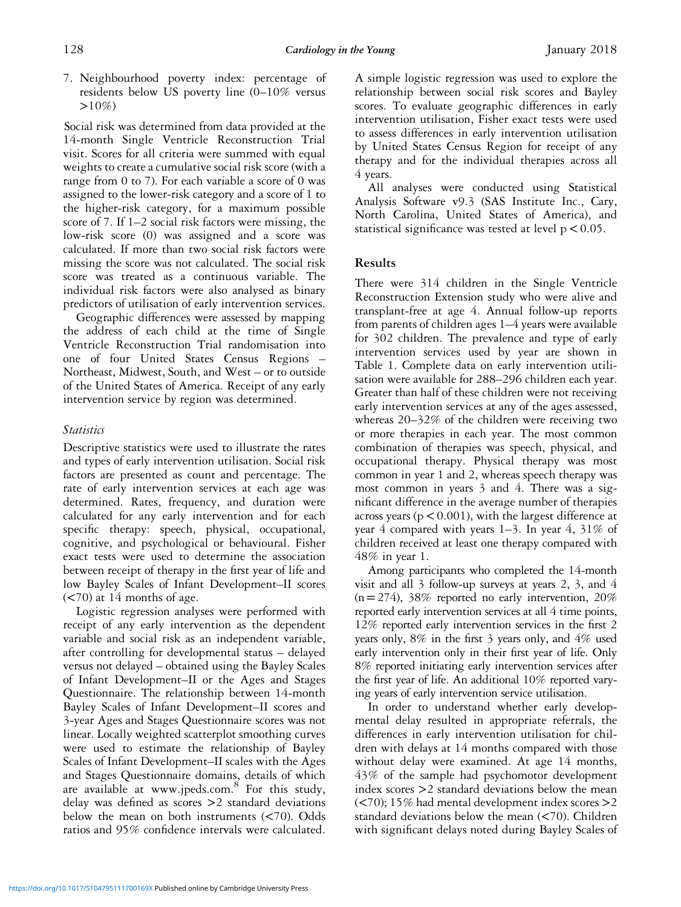7. Neighbourhood poverty index: percentage of residents below US poverty line (0–10% versus  $>10\%$ 

Social risk was determined from data provided at the 14-month Single Ventricle Reconstruction Trial visit. Scores for all criteria were summed with equal weights to create a cumulative social risk score (with a range from 0 to 7). For each variable a score of 0 was assigned to the lower-risk category and a score of 1 to the higher-risk category, for a maximum possible score of 7. If 1–2 social risk factors were missing, the low-risk score (0) was assigned and a score was calculated. If more than two social risk factors were missing the score was not calculated. The social risk score was treated as a continuous variable. The individual risk factors were also analysed as binary predictors of utilisation of early intervention services.

Geographic differences were assessed by mapping the address of each child at the time of Single Ventricle Reconstruction Trial randomisation into one of four United States Census Regions – Northeast, Midwest, South, and West – or to outside of the United States of America. Receipt of any early intervention service by region was determined.

# **Statistics**

Descriptive statistics were used to illustrate the rates and types of early intervention utilisation. Social risk factors are presented as count and percentage. The rate of early intervention services at each age was determined. Rates, frequency, and duration were calculated for any early intervention and for each specific therapy: speech, physical, occupational, cognitive, and psychological or behavioural. Fisher exact tests were used to determine the association between receipt of therapy in the first year of life and low Bayley Scales of Infant Development–II scores  $(< 70$ ) at 14 months of age.

Logistic regression analyses were performed with receipt of any early intervention as the dependent variable and social risk as an independent variable, after controlling for developmental status – delayed versus not delayed – obtained using the Bayley Scales of Infant Development–II or the Ages and Stages Questionnaire. The relationship between 14-month Bayley Scales of Infant Development–II scores and 3-year Ages and Stages Questionnaire scores was not linear. Locally weighted scatterplot smoothing curves were used to estimate the relationship of Bayley Scales of Infant Development–II scales with the Ages and Stages Questionnaire domains, details of which are available at [www.jpeds.com.](www.jpeds.com)<sup>[8](#page-7-0)</sup> For this study, delay was defined as scores >2 standard deviations below the mean on both instruments (<70). Odds ratios and 95% confidence intervals were calculated.

A simple logistic regression was used to explore the relationship between social risk scores and Bayley scores. To evaluate geographic differences in early intervention utilisation, Fisher exact tests were used to assess differences in early intervention utilisation by United States Census Region for receipt of any therapy and for the individual therapies across all 4 years.

All analyses were conducted using Statistical Analysis Software v9.3 (SAS Institute Inc., Cary, North Carolina, United States of America), and statistical significance was tested at level  $p < 0.05$ .

# Results

There were 314 children in the Single Ventricle Reconstruction Extension study who were alive and transplant-free at age 4. Annual follow-up reports from parents of children ages 1–4 years were available for 302 children. The prevalence and type of early intervention services used by year are shown in [Table 1.](#page-3-0) Complete data on early intervention utilisation were available for 288–296 children each year. Greater than half of these children were not receiving early intervention services at any of the ages assessed, whereas 20–32% of the children were receiving two or more therapies in each year. The most common combination of therapies was speech, physical, and occupational therapy. Physical therapy was most common in year 1 and 2, whereas speech therapy was most common in years 3 and 4. There was a significant difference in the average number of therapies across years ( $p < 0.001$ ), with the largest difference at year 4 compared with years 1–3. In year 4, 31% of children received at least one therapy compared with 48% in year 1.

Among participants who completed the 14-month visit and all 3 follow-up surveys at years 2, 3, and 4  $(n=274)$ , 38% reported no early intervention, 20% reported early intervention services at all 4 time points, 12% reported early intervention services in the first 2 years only, 8% in the first 3 years only, and 4% used early intervention only in their first year of life. Only 8% reported initiating early intervention services after the first year of life. An additional 10% reported varying years of early intervention service utilisation.

In order to understand whether early developmental delay resulted in appropriate referrals, the differences in early intervention utilisation for children with delays at 14 months compared with those without delay were examined. At age 14 months, 43% of the sample had psychomotor development index scores >2 standard deviations below the mean (<70); 15% had mental development index scores >2 standard deviations below the mean (<70). Children with significant delays noted during Bayley Scales of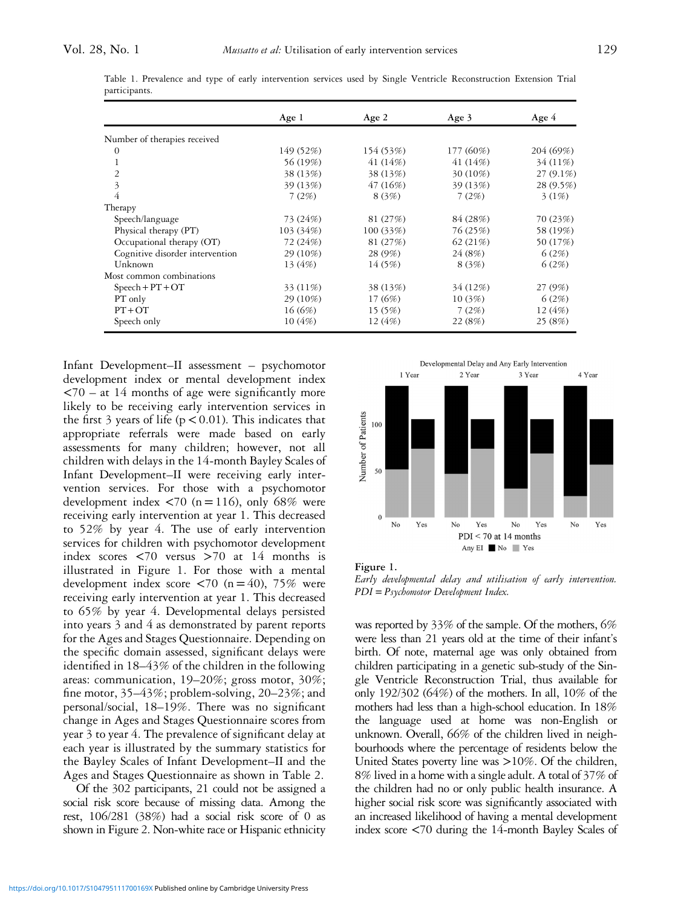|                                 | Age $1$    | Age $2$   | Age $3$    | Age $4$     |
|---------------------------------|------------|-----------|------------|-------------|
|                                 |            |           |            |             |
| Number of therapies received    |            |           |            |             |
| $\theta$                        | 149 (52%)  | 154 (53%) | 177 (60%)  | 204 (69%)   |
| 1                               | 56 (19%)   | 41 (14%)  | 41 (14%)   | 34 (11\%)   |
| $\overline{2}$                  | 38 (13%)   | 38 (13%)  | 30 (10%)   | $27(9.1\%)$ |
| 3                               | 39 (13%)   | 47 (16%)  | 39 (13%)   | 28 (9.5%)   |
| 4                               | 7(2%)      | 8(3%)     | 7(2%)      | 3(1%)       |
| Therapy                         |            |           |            |             |
| Speech/language                 | 73 (24%)   | 81 (27\%) | 84 (28%)   | 70 (23%)    |
| Physical therapy (PT)           | 103 (34%)  | 100(33%)  | 76 (25%)   | 58 (19%)    |
| Occupational therapy (OT)       | 72 (24%)   | 81 (27%)  | 62 $(21%)$ | 50 (17%)    |
| Cognitive disorder intervention | $29(10\%)$ | 28 (9%)   | 24 (8%)    | 6(2%)       |
| Unknown                         | 13 (4\%)   | 14 (5%)   | 8(3%)      | 6(2%)       |
| Most common combinations        |            |           |            |             |
| $Speech + PT + OT$              | 33 (11\%)  | 38 (13%)  | 34 (12%)   | 27 (9%)     |
| PT only                         | 29 (10%)   | 17(6%)    | 10(3%)     | 6(2%)       |
| $PT+OT$                         | 16(6%)     | 15(5%)    | 7(2%)      | 12 $(4%)$   |
| Speech only                     | 10(4%)     | 12 $(4%)$ | 22 (8%)    | 25 (8%)     |

<span id="page-3-0"></span>Table 1. Prevalence and type of early intervention services used by Single Ventricle Reconstruction Extension Trial participants.

Infant Development–II assessment – psychomotor development index or mental development index  $\langle 70 - at 14$  months of age were significantly more likely to be receiving early intervention services in the first 3 years of life ( $p < 0.01$ ). This indicates that appropriate referrals were made based on early assessments for many children; however, not all children with delays in the 14-month Bayley Scales of Infant Development–II were receiving early intervention services. For those with a psychomotor development index  $\langle 70 \rangle$  (n = 116), only 68% were receiving early intervention at year 1. This decreased to 52% by year 4. The use of early intervention services for children with psychomotor development index scores  $\langle 70 \rangle$  versus  $> 70$  at 14 months is illustrated in Figure 1. For those with a mental development index score  $\langle 70 \rangle$  (n = 40), 75% were receiving early intervention at year 1. This decreased to 65% by year 4. Developmental delays persisted into years 3 and 4 as demonstrated by parent reports for the Ages and Stages Questionnaire. Depending on the specific domain assessed, significant delays were identified in 18–43% of the children in the following areas: communication, 19–20%; gross motor, 30%; fine motor, 35–43%; problem-solving, 20–23%; and personal/social, 18–19%. There was no significant change in Ages and Stages Questionnaire scores from year 3 to year 4. The prevalence of significant delay at each year is illustrated by the summary statistics for the Bayley Scales of Infant Development–II and the Ages and Stages Questionnaire as shown in [Table 2.](#page-4-0)

Of the 302 participants, 21 could not be assigned a social risk score because of missing data. Among the rest, 106/281 (38%) had a social risk score of 0 as shown in [Figure 2.](#page-4-0) Non-white race or Hispanic ethnicity





Early developmental delay and utilisation of early intervention. PDI = Psychomotor Development Index.

was reported by 33% of the sample. Of the mothers, 6% were less than 21 years old at the time of their infant's birth. Of note, maternal age was only obtained from children participating in a genetic sub-study of the Single Ventricle Reconstruction Trial, thus available for only 192/302 (64%) of the mothers. In all, 10% of the mothers had less than a high-school education. In 18% the language used at home was non-English or unknown. Overall, 66% of the children lived in neighbourhoods where the percentage of residents below the United States poverty line was >10%. Of the children, 8% lived in a home with a single adult. A total of 37% of the children had no or only public health insurance. A higher social risk score was significantly associated with an increased likelihood of having a mental development index score <70 during the 14-month Bayley Scales of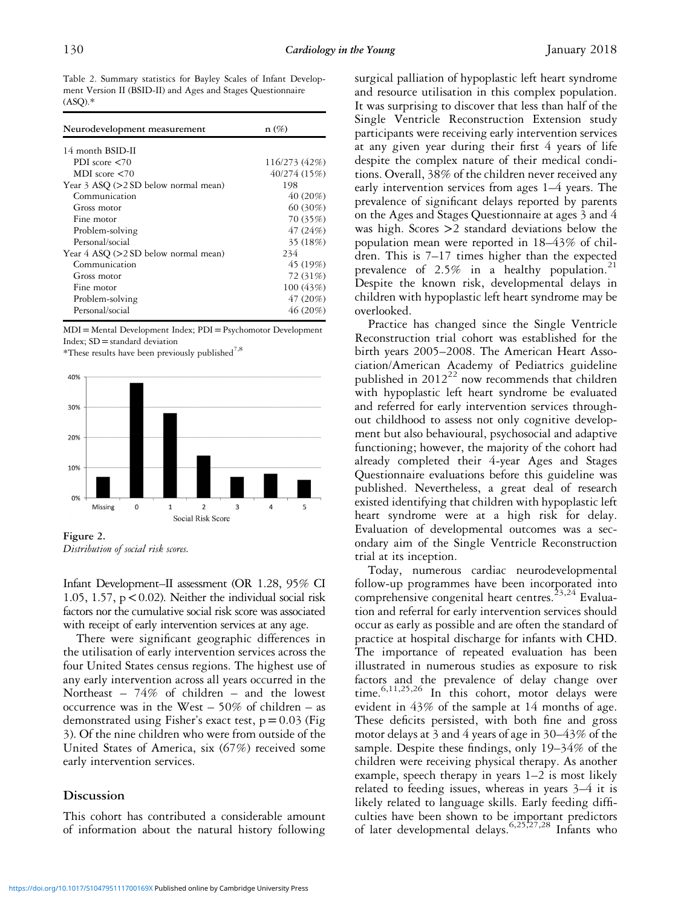<span id="page-4-0"></span>Table 2. Summary statistics for Bayley Scales of Infant Development Version II (BSID-II) and Ages and Stages Questionnaire  $(ASQ).*$ 

| Neurodevelopment measurement              | $n(\%)$       |
|-------------------------------------------|---------------|
| 14 month BSID-II                          |               |
| PDI score $\leq 70$                       | 116/273 (42%) |
| MDI score $\leq 70$                       | 40/274 (15%)  |
| Year 3 ASQ (>2 SD below normal mean)      | 198           |
| Communication                             | 40(20%)       |
| Gross motor                               | 60 (30%)      |
| Fine motor                                | 70 (35%)      |
| Problem-solving                           | 47(24%)       |
| Personal/social                           | 35 (18%)      |
| Year $4$ ASQ ( $>2$ SD below normal mean) | 234           |
| Communication                             | 45 (19%)      |
| Gross motor                               | 72 (31\%)     |
| Fine motor                                | 100 (43%)     |
| Problem-solving                           | 47(20%)       |
| Personal/social                           | 46 (20%)      |

MDI= Mental Development Index; PDI=Psychomotor Development Index; SD =standard deviation

\*These results have been previously published<sup>[7,8](#page-7-0)</sup>



Figure 2. Distribution of social risk scores.

Infant Development–II assessment (OR 1.28, 95% CI 1.05, 1.57,  $p < 0.02$ ). Neither the individual social risk factors nor the cumulative social risk score was associated with receipt of early intervention services at any age.

There were significant geographic differences in the utilisation of early intervention services across the four United States census regions. The highest use of any early intervention across all years occurred in the Northeast – 74% of children – and the lowest occurrence was in the West  $-50\%$  of children  $-$  as demonstrated using Fisher's exact test,  $p = 0.03$  [\(Fig](#page-5-0). [3](#page-5-0)). Of the nine children who were from outside of the United States of America, six (67%) received some early intervention services.

# Discussion

This cohort has contributed a considerable amount of information about the natural history following surgical palliation of hypoplastic left heart syndrome and resource utilisation in this complex population. It was surprising to discover that less than half of the Single Ventricle Reconstruction Extension study participants were receiving early intervention services at any given year during their first 4 years of life despite the complex nature of their medical conditions. Overall, 38% of the children never received any early intervention services from ages 1–4 years. The prevalence of significant delays reported by parents on the Ages and Stages Questionnaire at ages 3 and 4 was high. Scores >2 standard deviations below the population mean were reported in 18–43% of children. This is 7–17 times higher than the expected prevalence of 2.5% in a healthy population.<sup>[21](#page-7-0)</sup> Despite the known risk, developmental delays in children with hypoplastic left heart syndrome may be overlooked.

Practice has changed since the Single Ventricle Reconstruction trial cohort was established for the birth years 2005–2008. The American Heart Association/American Academy of Pediatrics guideline published in  $2012^{22}$  $2012^{22}$  $2012^{22}$  now recommends that children with hypoplastic left heart syndrome be evaluated and referred for early intervention services throughout childhood to assess not only cognitive development but also behavioural, psychosocial and adaptive functioning; however, the majority of the cohort had already completed their 4-year Ages and Stages Questionnaire evaluations before this guideline was published. Nevertheless, a great deal of research existed identifying that children with hypoplastic left heart syndrome were at a high risk for delay. Evaluation of developmental outcomes was a secondary aim of the Single Ventricle Reconstruction trial at its inception.

Today, numerous cardiac neurodevelopmental follow-up programmes have been incorporated into comprehensive congenital heart centres.<sup>[23,24](#page-7-0)</sup> Evaluation and referral for early intervention services should occur as early as possible and are often the standard of practice at hospital discharge for infants with CHD. The importance of repeated evaluation has been illustrated in numerous studies as exposure to risk factors and the prevalence of delay change over time. $6,11,25,26$  $6,11,25,26$  In this cohort, motor delays were evident in 43% of the sample at 14 months of age. These deficits persisted, with both fine and gross motor delays at 3 and 4 years of age in 30–43% of the sample. Despite these findings, only 19–34% of the children were receiving physical therapy. As another example, speech therapy in years 1–2 is most likely related to feeding issues, whereas in years 3–4 it is likely related to language skills. Early feeding difficulties have been shown to be important predictors of later developmental delays.<sup>[6,](#page-6-0)[25](#page-7-0),[27,28](#page-7-0)</sup> Infants who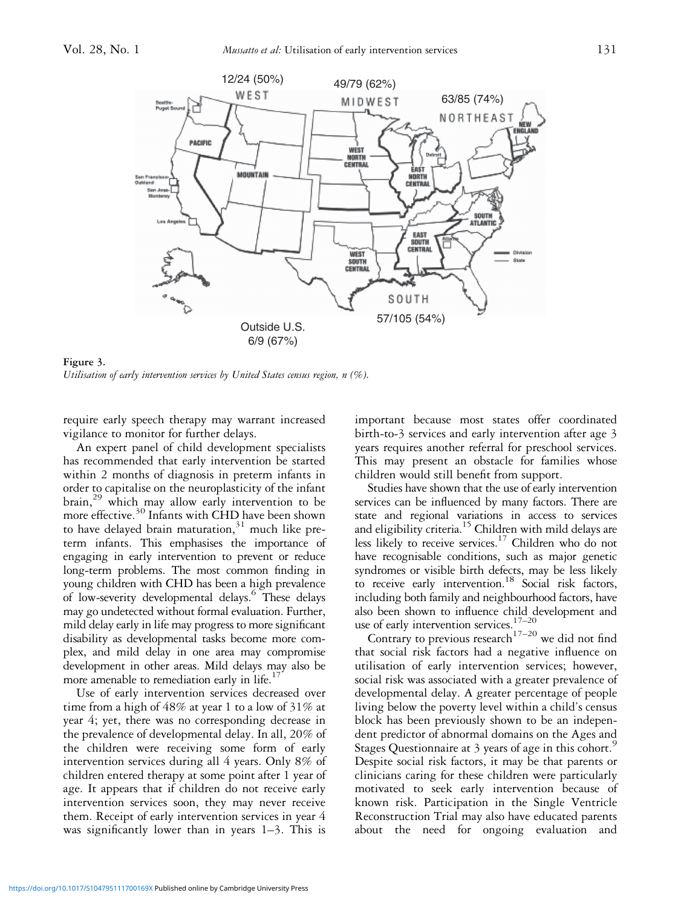<span id="page-5-0"></span>

Figure 3. Utilisation of early intervention services by United States census region, n (%).

require early speech therapy may warrant increased vigilance to monitor for further delays.

An expert panel of child development specialists has recommended that early intervention be started within 2 months of diagnosis in preterm infants in order to capitalise on the neuroplasticity of the infant brain,<sup>[29](#page-7-0)</sup> which may allow early intervention to be more effective.<sup>[30](#page-7-0)</sup> Infants with CHD have been shown to have delayed brain maturation, $31$  much like preterm infants. This emphasises the importance of engaging in early intervention to prevent or reduce long-term problems. The most common finding in young children with CHD has been a high prevalence of low-severity developmental delays.<sup>[6](#page-6-0)</sup> These delays may go undetected without formal evaluation. Further, mild delay early in life may progress to more significant disability as developmental tasks become more complex, and mild delay in one area may compromise development in other areas. Mild delays may also be more amenable to remediation early in life.<sup>1</sup>

Use of early intervention services decreased over time from a high of 48% at year 1 to a low of 31% at year 4; yet, there was no corresponding decrease in the prevalence of developmental delay. In all, 20% of the children were receiving some form of early intervention services during all 4 years. Only 8% of children entered therapy at some point after 1 year of age. It appears that if children do not receive early intervention services soon, they may never receive them. Receipt of early intervention services in year 4 was significantly lower than in years 1-3. This is

important because most states offer coordinated birth-to-3 services and early intervention after age 3 years requires another referral for preschool services. This may present an obstacle for families whose children would still benefit from support.

Studies have shown that the use of early intervention services can be influenced by many factors. There are state and regional variations in access to services and eligibility criteria.<sup>15</sup> Children with mild delays are less likely to receive services.<sup>17</sup> Children who do not have recognisable conditions, such as major genetic syndromes or visible birth defects, may be less likely to receive early intervention.<sup>[18](#page-7-0)</sup> Social risk factors, including both family and neighbourhood factors, have also been shown to influence child development and use of early intervention services.<sup>17–[20](#page-7-0)</sup>

Contrary to previous research<sup>[17](#page-7-0)–[20](#page-7-0)</sup> we did not find that social risk factors had a negative influence on utilisation of early intervention services; however, social risk was associated with a greater prevalence of developmental delay. A greater percentage of people living below the poverty level within a child's census block has been previously shown to be an independent predictor of abnormal domains on the Ages and Stages Questionnaire at 3 years of age in this cohort.<sup>[9](#page-7-0)</sup> Despite social risk factors, it may be that parents or clinicians caring for these children were particularly motivated to seek early intervention because of known risk. Participation in the Single Ventricle Reconstruction Trial may also have educated parents about the need for ongoing evaluation and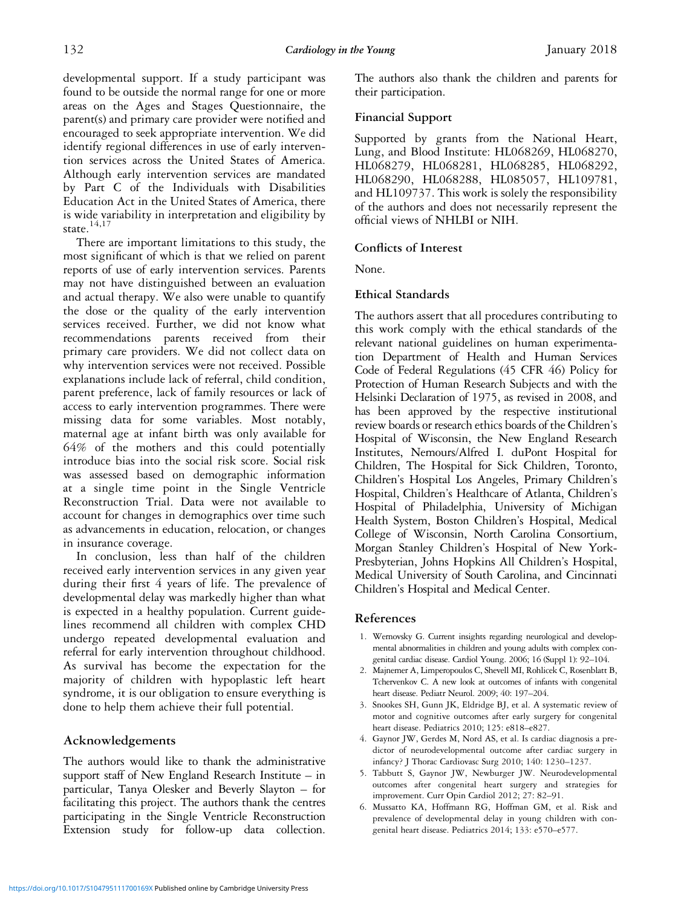<span id="page-6-0"></span>developmental support. If a study participant was found to be outside the normal range for one or more areas on the Ages and Stages Questionnaire, the parent(s) and primary care provider were notified and encouraged to seek appropriate intervention. We did identify regional differences in use of early intervention services across the United States of America. Although early intervention services are mandated by Part C of the Individuals with Disabilities Education Act in the United States of America, there is wide variability in interpretation and eligibility by state. $14,17$ 

There are important limitations to this study, the most significant of which is that we relied on parent reports of use of early intervention services. Parents may not have distinguished between an evaluation and actual therapy. We also were unable to quantify the dose or the quality of the early intervention services received. Further, we did not know what recommendations parents received from their primary care providers. We did not collect data on why intervention services were not received. Possible explanations include lack of referral, child condition, parent preference, lack of family resources or lack of access to early intervention programmes. There were missing data for some variables. Most notably, maternal age at infant birth was only available for 64% of the mothers and this could potentially introduce bias into the social risk score. Social risk was assessed based on demographic information at a single time point in the Single Ventricle Reconstruction Trial. Data were not available to account for changes in demographics over time such as advancements in education, relocation, or changes in insurance coverage.

In conclusion, less than half of the children received early intervention services in any given year during their first 4 years of life. The prevalence of developmental delay was markedly higher than what is expected in a healthy population. Current guidelines recommend all children with complex CHD undergo repeated developmental evaluation and referral for early intervention throughout childhood. As survival has become the expectation for the majority of children with hypoplastic left heart syndrome, it is our obligation to ensure everything is done to help them achieve their full potential.

# Acknowledgements

The authors would like to thank the administrative support staff of New England Research Institute – in particular, Tanya Olesker and Beverly Slayton – for facilitating this project. The authors thank the centres participating in the Single Ventricle Reconstruction Extension study for follow-up data collection.

The authors also thank the children and parents for their participation.

### Financial Support

Supported by grants from the National Heart, Lung, and Blood Institute: HL068269, HL068270, HL068279, HL068281, HL068285, HL068292, HL068290, HL068288, HL085057, HL109781, and HL109737. This work is solely the responsibility of the authors and does not necessarily represent the official views of NHLBI or NIH.

# Conflicts of Interest

None.

### Ethical Standards

The authors assert that all procedures contributing to this work comply with the ethical standards of the relevant national guidelines on human experimentation Department of Health and Human Services Code of Federal Regulations (45 CFR 46) Policy for Protection of Human Research Subjects and with the Helsinki Declaration of 1975, as revised in 2008, and has been approved by the respective institutional review boards or research ethics boards of the Children's Hospital of Wisconsin, the New England Research Institutes, Nemours/Alfred I. duPont Hospital for Children, The Hospital for Sick Children, Toronto, Children's Hospital Los Angeles, Primary Children's Hospital, Children's Healthcare of Atlanta, Children's Hospital of Philadelphia, University of Michigan Health System, Boston Children's Hospital, Medical College of Wisconsin, North Carolina Consortium, Morgan Stanley Children's Hospital of New York-Presbyterian, Johns Hopkins All Children's Hospital, Medical University of South Carolina, and Cincinnati Children's Hospital and Medical Center.

### References

- 1. Wernovsky G. Current insights regarding neurological and developmental abnormalities in children and young adults with complex congenital cardiac disease. Cardiol Young. 2006; 16 (Suppl 1): 92–104.
- 2. Majnemer A, Limperopoulos C, Shevell MI, Rohlicek C, Rosenblatt B, Tchervenkov C. A new look at outcomes of infants with congenital heart disease. Pediatr Neurol. 2009; 40: 197–204.
- 3. Snookes SH, Gunn JK, Eldridge BJ, et al. A systematic review of motor and cognitive outcomes after early surgery for congenital heart disease. Pediatrics 2010; 125: e818–e827.
- 4. Gaynor JW, Gerdes M, Nord AS, et al. Is cardiac diagnosis a predictor of neurodevelopmental outcome after cardiac surgery in infancy? J Thorac Cardiovasc Surg 2010; 140: 1230–1237.
- 5. Tabbutt S, Gaynor JW, Newburger JW. Neurodevelopmental outcomes after congenital heart surgery and strategies for improvement. Curr Opin Cardiol 2012; 27: 82–91.
- 6. Mussatto KA, Hoffmann RG, Hoffman GM, et al. Risk and prevalence of developmental delay in young children with congenital heart disease. Pediatrics 2014; 133: e570–e577.